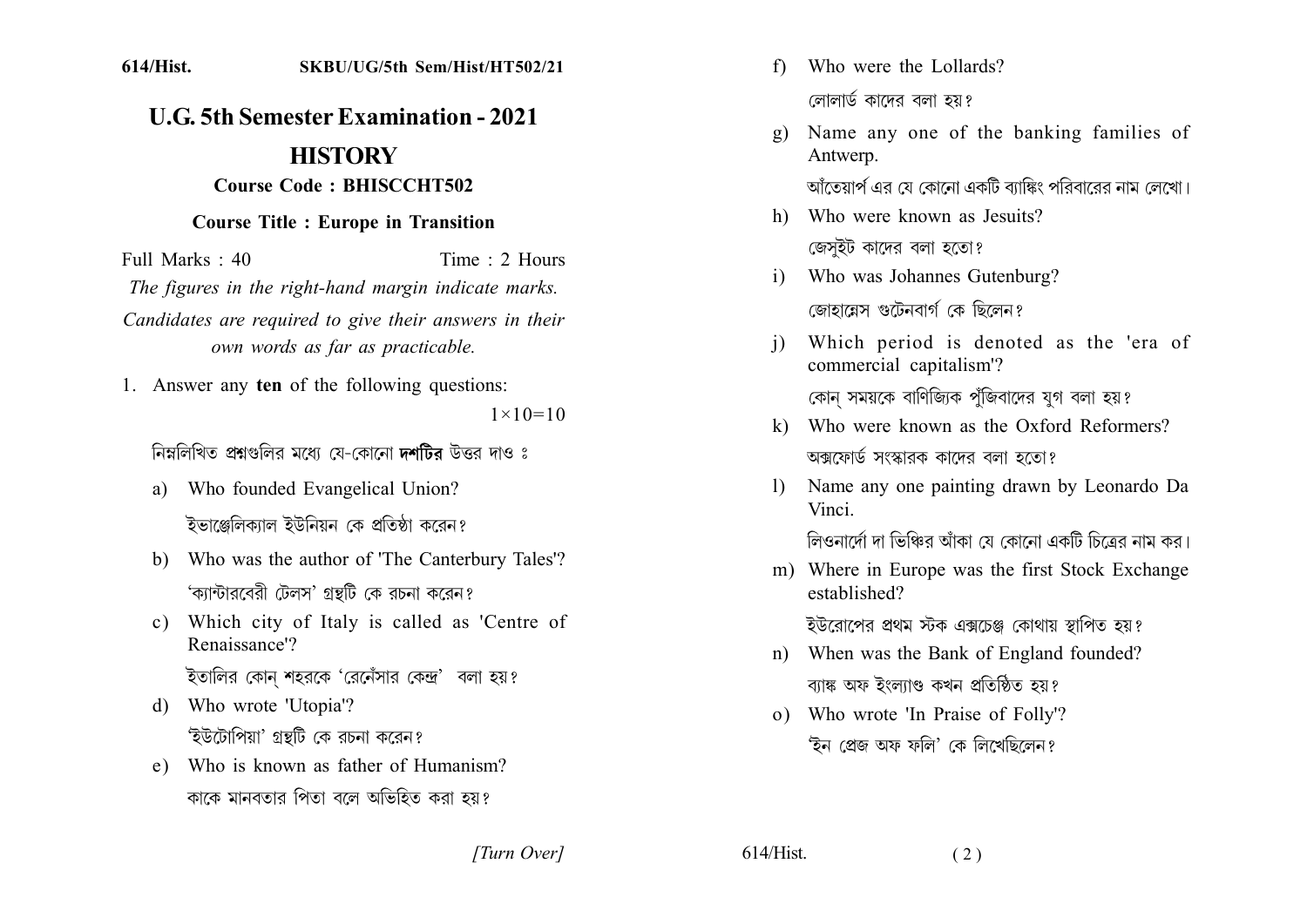## **U.G. 5th Semester Examination - 2021 HISTORY Course Code: BHISCCHT502**

## **Course Title : Europe in Transition**

Full Marks  $\cdot$  40 Time  $\cdot$  2 Hours The figures in the right-hand margin indicate marks. Candidates are required to give their answers in their own words as far as practicable.

1. Answer any ten of the following questions:  $1 \times 10 = 10$ 

নিম্নলিখিত প্ৰশ্নগুলির মধ্যে যে-কোনো দশটির উত্তর দাও ঃ

- a) Who founded Evangelical Union? ইভাঞ্জেলিকাাল ইউনিয়ন কে প্রতিষ্ঠা কবেন?
- b) Who was the author of 'The Canterbury Tales'? 'ক্যান্টারবেরী টেলস' গ্রন্থটি কে রচনা করেন?
- Which city of Italy is called as 'Centre of  $c)$ Renaissance'?
	- ইতালির কোন শহরকে 'রেনেঁসার কেন্দ্র' বলা হয়?
- d) Who wrote 'Utopia'? 'ইউটোপিয়া' গ্রন্থটি কে রচনা করেন?
- e) Who is known as father of Humanism? কাকে মানবতার পিতা বলে অভিহিত করা হয়?

Who were the Lollards?  $f$ 

লোলার্ড কাদের বলা হয়?

- Name any one of the banking families of  $\mathbf{Q}$ Antwerp. আঁতেয়ার্প এর যে কোনো একটি ব্যাঙ্কিং পরিবারের নাম লেখো।
- h) Who were known as Jesuits? জেসুইট কাদের বলা হতো?
- Who was Johannes Gutenburg?  $i)$ জোহায়েস গুটেনবার্গ কে ছিলেন?
- Which period is denoted as the 'era of  $\mathbf{i}$ commercial capitalism'? কোন সময়কে বাণিজ্যিক পুঁজিবাদের যুগ বলা হয়?
- k) Who were known as the Oxford Reformers? অক্সফোর্ড সংস্কারক কাদের বলা হতো?
- Name any one painting drawn by Leonardo Da  $\mathbf{D}$ Vinci

লিওনার্দো দা ভিঞ্চির আঁকা যে কোনো একটি চিত্রের নাম কর।

m) Where in Europe was the first Stock Exchange established?

ইউরোপের প্রথম স্টক এক্সচেঞ্জ কোথায় স্থাপিত হয়?

- n) When was the Bank of England founded? ব্যাঙ্ক অফ ইংল্যাণ্ড কখন প্ৰতিষ্ঠিত হয়?
- o) Who wrote 'In Praise of Folly'? 'ইন প্ৰেজ অফ ফলি' কে লিখেছিলেন?